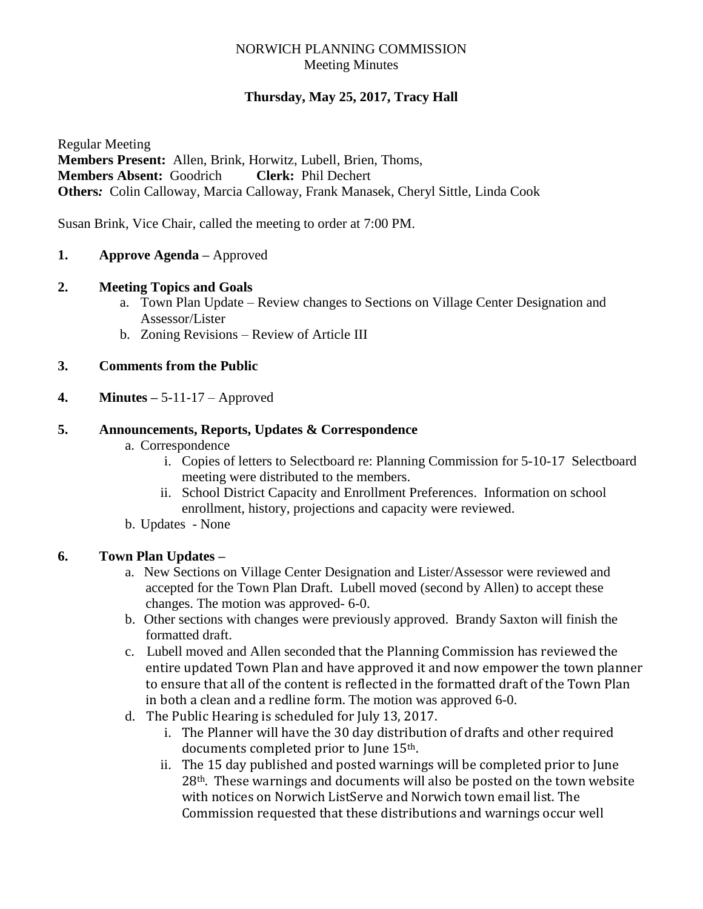# NORWICH PLANNING COMMISSION Meeting Minutes

# **Thursday, May 25, 2017, Tracy Hall**

Regular Meeting **Members Present:** Allen, Brink, Horwitz, Lubell, Brien, Thoms, **Members Absent:** Goodrich **Clerk:** Phil Dechert **Others***:* Colin Calloway, Marcia Calloway, Frank Manasek, Cheryl Sittle, Linda Cook

Susan Brink, Vice Chair, called the meeting to order at 7:00 PM.

**1. Approve Agenda –** Approved

## **2. Meeting Topics and Goals**

- a. Town Plan Update Review changes to Sections on Village Center Designation and Assessor/Lister
- b. Zoning Revisions Review of Article III

# **3. Comments from the Public**

**4. Minutes –** 5-11-17 – Approved

## **5. Announcements, Reports, Updates & Correspondence**

- a. Correspondence
	- i. Copies of letters to Selectboard re: Planning Commission for 5-10-17Selectboard meeting were distributed to the members.
	- ii. School District Capacity and Enrollment Preferences. Information on school enrollment, history, projections and capacity were reviewed.
- b. Updates None

# **6. Town Plan Updates –**

- a. New Sections on Village Center Designation and Lister/Assessor were reviewed and accepted for the Town Plan Draft. Lubell moved (second by Allen) to accept these changes. The motion was approved- 6-0.
- b. Other sections with changes were previously approved. Brandy Saxton will finish the formatted draft.
- c. Lubell moved and Allen seconded that the Planning Commission has reviewed the entire updated Town Plan and have approved it and now empower the town planner to ensure that all of the content is reflected in the formatted draft of the Town Plan in both a clean and a redline form. The motion was approved 6-0.
- d. The Public Hearing is scheduled for July 13, 2017.
	- i. The Planner will have the 30 day distribution of drafts and other required documents completed prior to June 15th.
	- ii. The 15 day published and posted warnings will be completed prior to June 28th. These warnings and documents will also be posted on the town website with notices on Norwich ListServe and Norwich town email list. The Commission requested that these distributions and warnings occur well